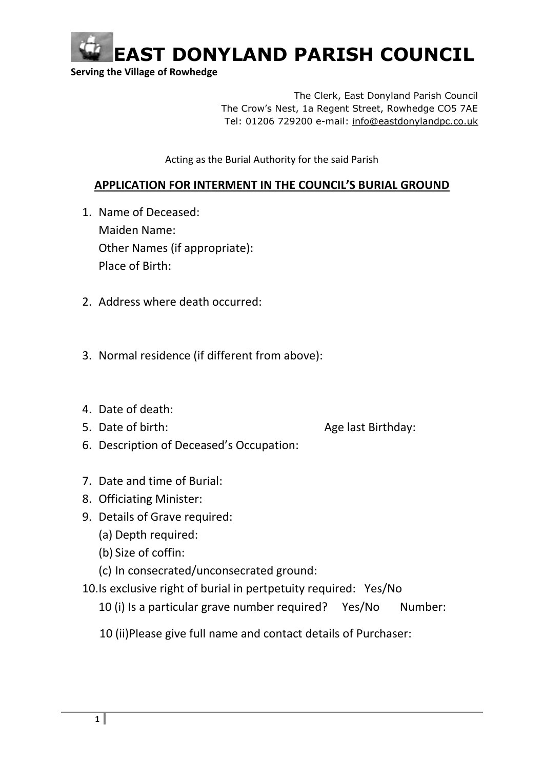

 **Serving the Village of Rowhedge**

The Clerk, East Donyland Parish Council The Crow's Nest, 1a Regent Street, Rowhedge CO5 7AE Tel: 01206 729200 e-mail: [info@eastdonylandpc.co.uk](mailto:info@eastdonylandpc.co.uk)

Acting as the Burial Authority for the said Parish

## **APPLICATION FOR INTERMENT IN THE COUNCIL'S BURIAL GROUND**

- 1. Name of Deceased: Maiden Name: Other Names (if appropriate): Place of Birth:
- 2. Address where death occurred:
- 3. Normal residence (if different from above):
- 4. Date of death:
- 

5. Date of birth: Age last Birthday:

- 6. Description of Deceased's Occupation:
- 7. Date and time of Burial:
- 8. Officiating Minister:
- 9. Details of Grave required:
	- (a) Depth required:
	- (b) Size of coffin:
	- (c) In consecrated/unconsecrated ground:
- 10.Is exclusive right of burial in pertpetuity required: Yes/No
	- 10 (i) Is a particular grave number required? Yes/No Number:
	- 10 (ii)Please give full name and contact details of Purchaser: